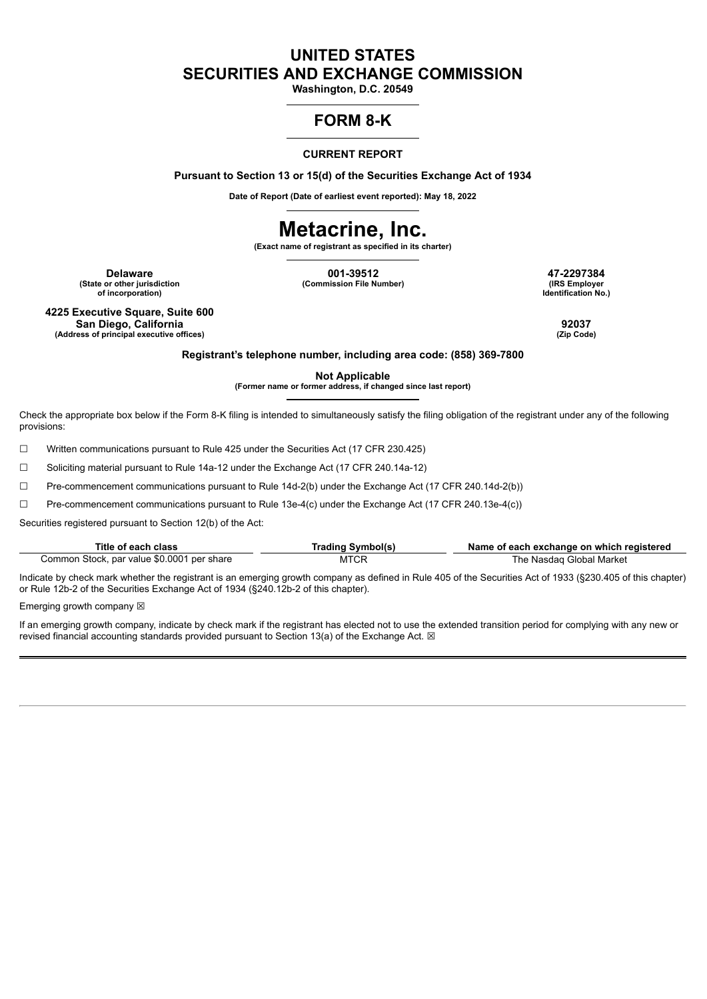## **UNITED STATES SECURITIES AND EXCHANGE COMMISSION**

**Washington, D.C. 20549**

### **FORM 8-K**

### **CURRENT REPORT**

**Pursuant to Section 13 or 15(d) of the Securities Exchange Act of 1934**

**Date of Report (Date of earliest event reported): May 18, 2022**

# **Metacrine, Inc.**

**(Exact name of registrant as specified in its charter)**

**(State or other jurisdiction of incorporation)**

**Delaware 001-39512 47-2297384 (Commission File Number) (IRS Employer**

**Identification No.)**

**4225 Executive Square, Suite 600 San Diego, California 92037 (Address of principal executive offices) (Zip Code)**

**Registrant's telephone number, including area code: (858) 369-7800**

**Not Applicable**

**(Former name or former address, if changed since last report)**

Check the appropriate box below if the Form 8-K filing is intended to simultaneously satisfy the filing obligation of the registrant under any of the following provisions:

☐ Written communications pursuant to Rule 425 under the Securities Act (17 CFR 230.425)

☐ Soliciting material pursuant to Rule 14a-12 under the Exchange Act (17 CFR 240.14a-12)

☐ Pre-commencement communications pursuant to Rule 14d-2(b) under the Exchange Act (17 CFR 240.14d-2(b))

☐ Pre-commencement communications pursuant to Rule 13e-4(c) under the Exchange Act (17 CFR 240.13e-4(c))

Securities registered pursuant to Section 12(b) of the Act:

| Title of each class                        | Trading Symbol(s) | Name of each exchange on which registered |
|--------------------------------------------|-------------------|-------------------------------------------|
| Common Stock, par value \$0.0001 per share | MTCR              | The Nasdag Global Market                  |

Indicate by check mark whether the registrant is an emerging growth company as defined in Rule 405 of the Securities Act of 1933 (§230.405 of this chapter) or Rule 12b-2 of the Securities Exchange Act of 1934 (§240.12b-2 of this chapter).

Emerging growth company  $\boxtimes$ 

If an emerging growth company, indicate by check mark if the registrant has elected not to use the extended transition period for complying with any new or revised financial accounting standards provided pursuant to Section 13(a) of the Exchange Act.  $\boxtimes$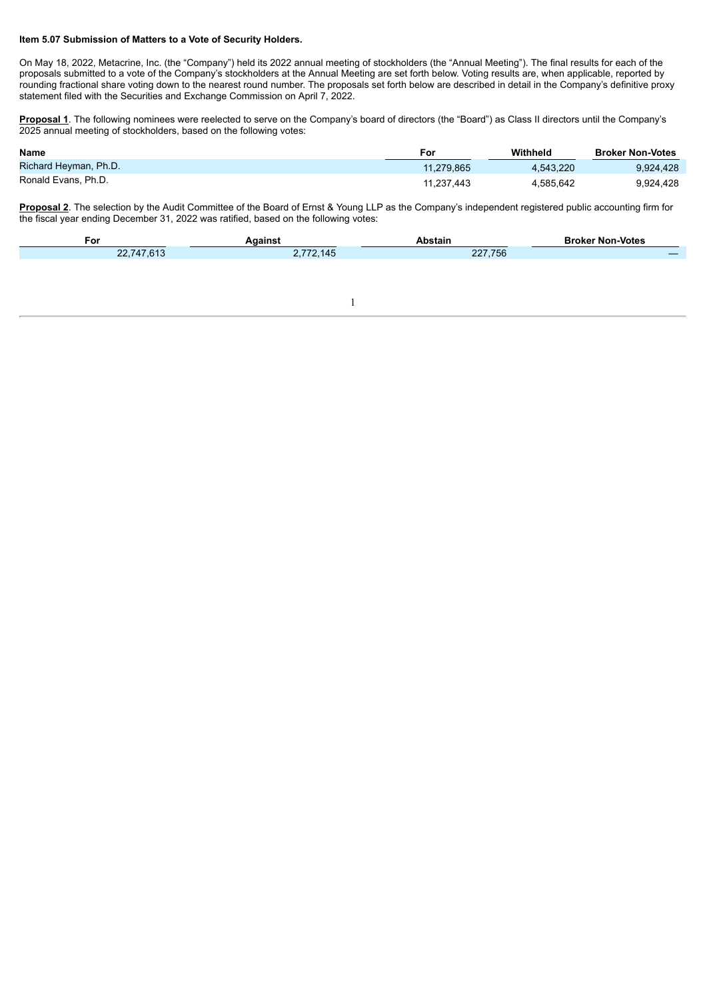#### **Item 5.07 Submission of Matters to a Vote of Security Holders.**

On May 18, 2022, Metacrine, Inc. (the "Company") held its 2022 annual meeting of stockholders (the "Annual Meeting"). The final results for each of the proposals submitted to a vote of the Company's stockholders at the Annual Meeting are set forth below. Voting results are, when applicable, reported by rounding fractional share voting down to the nearest round number. The proposals set forth below are described in detail in the Company's definitive proxy statement filed with the Securities and Exchange Commission on April 7, 2022.

**Proposal 1**. The following nominees were reelected to serve on the Company's board of directors (the "Board") as Class II directors until the Company's 2025 annual meeting of stockholders, based on the following votes:

| <b>Name</b>           | For        | Withheld  | <b>Broker Non-Votes</b> |
|-----------------------|------------|-----------|-------------------------|
| Richard Heyman, Ph.D. | 11.279.865 | 4.543.220 | 9.924.428               |
| Ronald Evans, Ph.D.   | 11.237.443 | 4.585.642 | 9.924.428               |

**Proposal 2**. The selection by the Audit Committee of the Board of Ernst & Young LLP as the Company's independent registered public accounting firm for the fiscal year ending December 31, 2022 was ratified, based on the following votes:

| For                                    | <b>\aains</b> '        | Abstain | ' Non-Votes<br>Broker |
|----------------------------------------|------------------------|---------|-----------------------|
| 47.613<br>n r<br>$\sqrt{4}$<br><u></u> | 5770445<br>.2.145<br>. | 227,756 |                       |
|                                        |                        |         |                       |

1